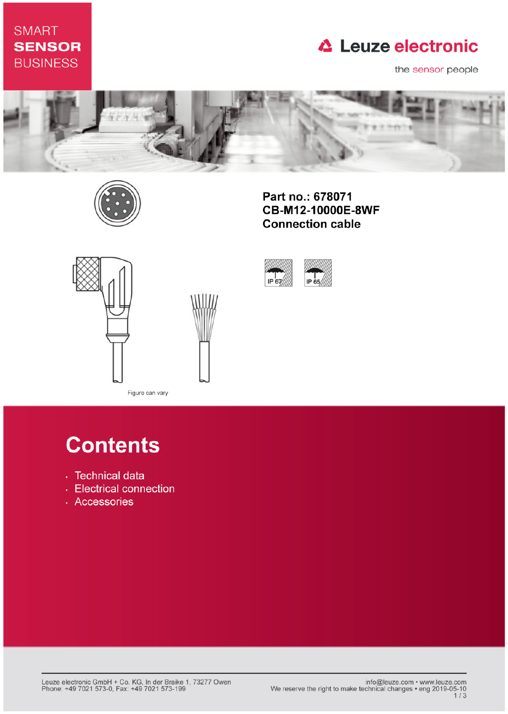## **SMART SENSOR BUSINESS**

# **△ Leuze electronic**

the sensor people



IP 67



Part no.: 678071 CB-M12-10000E-8WF **Connection cable** 

IP 65





Figure can vary

# **Contents**

- · Technical data
- Electrical connection
- · Accessories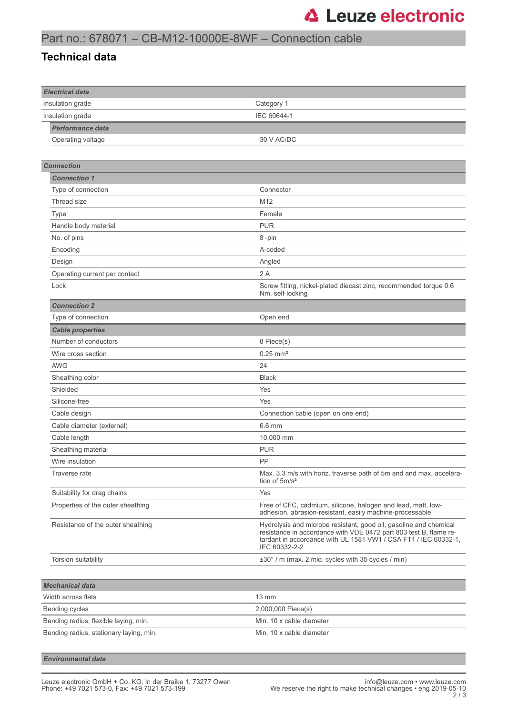### Part no.: 678071 – CB-M12-10000E-8WF – Connection cable

#### **Technical data**

| <b>Electrical data</b>            |                                                                                                                                                                                                                            |
|-----------------------------------|----------------------------------------------------------------------------------------------------------------------------------------------------------------------------------------------------------------------------|
| Insulation grade                  | Category 1                                                                                                                                                                                                                 |
| Insulation grade                  | IEC 60644-1                                                                                                                                                                                                                |
| Performance data                  |                                                                                                                                                                                                                            |
| Operating voltage                 | 30 V AC/DC                                                                                                                                                                                                                 |
|                                   |                                                                                                                                                                                                                            |
| <b>Connection</b>                 |                                                                                                                                                                                                                            |
| <b>Connection 1</b>               |                                                                                                                                                                                                                            |
| Type of connection                | Connector                                                                                                                                                                                                                  |
| Thread size                       | M <sub>12</sub>                                                                                                                                                                                                            |
| <b>Type</b>                       | Female                                                                                                                                                                                                                     |
| Handle body material              | <b>PUR</b>                                                                                                                                                                                                                 |
| No. of pins                       | 8-pin                                                                                                                                                                                                                      |
| Encoding                          | A-coded                                                                                                                                                                                                                    |
| Design                            | Angled                                                                                                                                                                                                                     |
| Operating current per contact     | 2A                                                                                                                                                                                                                         |
| Lock                              | Screw fitting, nickel-plated diecast zinc, recommended torque 0.6<br>Nm, self-locking                                                                                                                                      |
| <b>Connection 2</b>               |                                                                                                                                                                                                                            |
| Type of connection                | Open end                                                                                                                                                                                                                   |
| <b>Cable properties</b>           |                                                                                                                                                                                                                            |
| Number of conductors              | 8 Piece(s)                                                                                                                                                                                                                 |
| Wire cross section                | $0.25$ mm <sup>2</sup>                                                                                                                                                                                                     |
| <b>AWG</b>                        | 24                                                                                                                                                                                                                         |
| Sheathing color                   | <b>Black</b>                                                                                                                                                                                                               |
| Shielded                          | Yes                                                                                                                                                                                                                        |
| Silicone-free                     | Yes                                                                                                                                                                                                                        |
| Cable design                      | Connection cable (open on one end)                                                                                                                                                                                         |
| Cable diameter (external)         | 6.6 mm                                                                                                                                                                                                                     |
| Cable length                      | 10,000 mm                                                                                                                                                                                                                  |
| Sheathing material                | <b>PUR</b>                                                                                                                                                                                                                 |
| Wire insulation                   | PP                                                                                                                                                                                                                         |
| Traverse rate                     | Max. 3.3 m/s with horiz. traverse path of 5m and and max. accelera-<br>tion of 5m/s <sup>2</sup>                                                                                                                           |
| Suitability for drag chains       | Yes                                                                                                                                                                                                                        |
| Properties of the outer sheathing | Free of CFC, cadmium, silicone, halogen and lead, matt, low-<br>adhesion, abrasion-resistant, easily machine-processable                                                                                                   |
| Resistance of the outer sheathing | Hydrolysis and microbe resistant, good oil, gasoline and chemical<br>resistance in accordance with VDE 0472 part 803 test B, flame re-<br>tardant in accordance with UL 1581 VW1 / CSA FT1 / IEC 60332-1,<br>IEC 60332-2-2 |
| Torsion suitability               | ±30° / m (max. 2 mio. cycles with 35 cycles / min)                                                                                                                                                                         |

| <b>Mechanical data</b>                  |                          |
|-----------------------------------------|--------------------------|
| Width across flats                      | $13 \text{ mm}$          |
| Bending cycles                          | 2,000,000 Piece(s)       |
| Bending radius, flexible laying, min.   | Min. 10 x cable diameter |
| Bending radius, stationary laying, min. | Min. 10 x cable diameter |

*Environmental data*